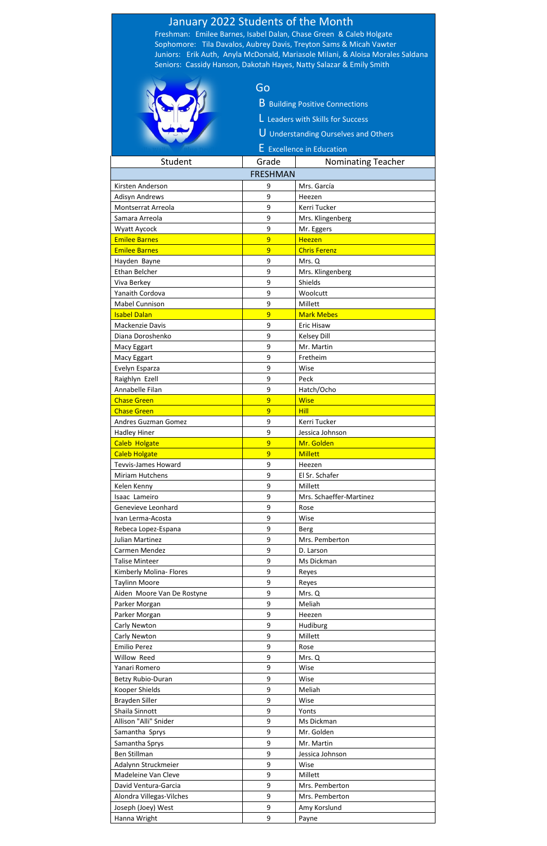|                                               | January 2022 Students of the Month |                                                                                |
|-----------------------------------------------|------------------------------------|--------------------------------------------------------------------------------|
|                                               |                                    | Freshman: Emilee Barnes, Isabel Dalan, Chase Green & Caleb Holgate             |
|                                               |                                    | Sophomore: Tila Davalos, Aubrey Davis, Treyton Sams & Micah Vawter             |
|                                               |                                    | Juniors: Erik Auth, Anyla McDonald, Mariasole Milani, & Aloisa Morales Saldana |
|                                               |                                    | Seniors: Cassidy Hanson, Dakotah Hayes, Natty Salazar & Emily Smith            |
|                                               |                                    |                                                                                |
|                                               | Go                                 |                                                                                |
|                                               |                                    | <b>B</b> Building Positive Connections                                         |
|                                               |                                    | L Leaders with Skills for Success                                              |
|                                               |                                    |                                                                                |
|                                               |                                    | U Understanding Ourselves and Others                                           |
|                                               |                                    | E Excellence in Education                                                      |
| Student                                       | Grade                              | <b>Nominating Teacher</b>                                                      |
|                                               | <b>FRESHMAN</b>                    |                                                                                |
| Kirsten Anderson                              | 9                                  | Mrs. García                                                                    |
| <b>Adisyn Andrews</b>                         | 9                                  | Heezen                                                                         |
| Montserrat Arreola                            | 9                                  | Kerri Tucker                                                                   |
| Samara Arreola                                | 9                                  | Mrs. Klingenberg                                                               |
| Wyatt Aycock                                  | 9                                  | Mr. Eggers                                                                     |
| <b>Emilee Barnes</b>                          | 9                                  | <b>Heezen</b>                                                                  |
| <b>Emilee Barnes</b>                          | 9                                  | <b>Chris Ferenz</b>                                                            |
| Hayden Bayne                                  | 9                                  | Mrs. Q                                                                         |
| <b>Ethan Belcher</b>                          | 9                                  | Mrs. Klingenberg                                                               |
| Viva Berkey                                   | 9                                  | Shields                                                                        |
| Yanaith Cordova<br><b>Mabel Cunnison</b>      | 9<br>9                             | Woolcutt<br>Millett                                                            |
| <b>Isabel Dalan</b>                           | 9                                  | <b>Mark Mebes</b>                                                              |
| Mackenzie Davis                               | q                                  | Eric Hisaw                                                                     |
| Diana Doroshenko                              | 9                                  | <b>Kelsey Dill</b>                                                             |
| Macy Eggart                                   | 9                                  | Mr. Martin                                                                     |
| Macy Eggart                                   | 9                                  | Fretheim                                                                       |
| Evelyn Esparza                                | 9                                  | Wise                                                                           |
| Raighlyn Ezell                                | 9                                  | Peck                                                                           |
| Annabelle Filan                               | 9                                  | Hatch/Ocho                                                                     |
| <b>Chase Green</b>                            | $\overline{9}$                     | <b>Wise</b>                                                                    |
| <b>Chase Green</b>                            | 9                                  | <b>Hill</b>                                                                    |
| Andres Guzman Gomez                           | 9                                  | Kerri Tucker                                                                   |
| <b>Hadley Hiner</b>                           | 9                                  | Jessica Johnson                                                                |
| <b>Caleb Holgate</b>                          | 9                                  | Mr. Golden                                                                     |
| <b>Caleb Holgate</b>                          | $\overline{9}$<br>9                | <b>Millett</b>                                                                 |
| <b>Tevvis-James Howard</b><br>Miriam Hutchens | 9                                  | Heezen<br>El Sr. Schafer                                                       |
| Kelen Kenny                                   | 9                                  | Millett                                                                        |
| Isaac Lameiro                                 | 9                                  | Mrs. Schaeffer-Martinez                                                        |
| Genevieve Leonhard                            | 9                                  | Rose                                                                           |
| Ivan Lerma-Acosta                             | 9                                  | Wise                                                                           |
| Rebeca Lopez-Espana                           | 9                                  | <b>Berg</b>                                                                    |
| <b>Julian Martinez</b>                        | 9                                  | Mrs. Pemberton                                                                 |
| Carmen Mendez                                 | 9                                  | D. Larson                                                                      |
| <b>Talise Minteer</b>                         | 9                                  | Ms Dickman                                                                     |
| Kimberly Molina- Flores                       | 9                                  | Reyes                                                                          |
| <b>Taylinn Moore</b>                          | 9                                  | Reyes                                                                          |
| Aiden Moore Van De Rostyne                    | 9                                  | Mrs. Q                                                                         |
| Parker Morgan                                 | 9                                  | Meliah                                                                         |
| Parker Morgan                                 | 9                                  | Heezen                                                                         |
| Carly Newton                                  | 9                                  | Hudiburg                                                                       |
| Carly Newton                                  | $\mathbf{q}$                       | Millett                                                                        |
| <b>Emilio Perez</b><br>Willow Reed            | 9<br>9                             | Rose                                                                           |
| Yanari Romero                                 | 9                                  | Mrs. Q<br>Wise                                                                 |
| Betzy Rubio-Duran                             | 9                                  | Wise                                                                           |
| Kooper Shields                                | 9                                  | Meliah                                                                         |
| Brayden Siller                                | 9                                  | Wise                                                                           |
| Shaila Sinnott                                | 9                                  | Yonts                                                                          |
| Allison "Alli" Snider                         | 9                                  | Ms Dickman                                                                     |
| Samantha Sprys                                | 9                                  | Mr. Golden                                                                     |
| Samantha Sprys                                | 9                                  | Mr. Martin                                                                     |
| <b>Ben Stillman</b>                           | 9                                  | Jessica Johnson                                                                |
| Adalynn Struckmeier                           | 9                                  | Wise                                                                           |
| Madeleine Van Cleve                           | 9                                  | Millett                                                                        |
| David Ventura-Garcia                          | 9                                  | Mrs. Pemberton                                                                 |
| Alondra Villegas-Vilches                      | 9                                  | Mrs. Pemberton                                                                 |
| Joseph (Joey) West                            | 9                                  | Amy Korslund                                                                   |
| Hanna Wright                                  | 9                                  | Payne                                                                          |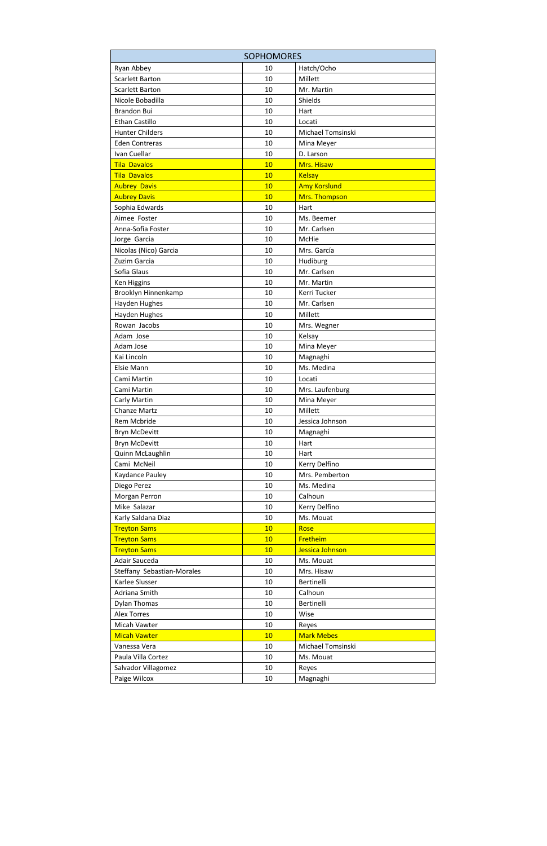| <b>SOPHOMORES</b>          |    |                     |  |  |
|----------------------------|----|---------------------|--|--|
| Ryan Abbey                 | 10 | Hatch/Ocho          |  |  |
| <b>Scarlett Barton</b>     | 10 | Millett             |  |  |
| <b>Scarlett Barton</b>     | 10 | Mr. Martin          |  |  |
| Nicole Bobadilla           | 10 | Shields             |  |  |
| <b>Brandon Bui</b>         | 10 | Hart                |  |  |
| Ethan Castillo             | 10 | Locati              |  |  |
| <b>Hunter Childers</b>     | 10 | Michael Tomsinski   |  |  |
| <b>Eden Contreras</b>      | 10 | Mina Meyer          |  |  |
| Ivan Cuellar               | 10 | D. Larson           |  |  |
| <b>Tila Davalos</b>        | 10 | Mrs. Hisaw          |  |  |
| <b>Tila Davalos</b>        | 10 | <b>Kelsay</b>       |  |  |
| <b>Aubrey Davis</b>        | 10 | <b>Amy Korslund</b> |  |  |
| <b>Aubrey Davis</b>        | 10 | Mrs. Thompson       |  |  |
| Sophia Edwards             | 10 | Hart                |  |  |
| Aimee Foster               | 10 | Ms. Beemer          |  |  |
| Anna-Sofia Foster          | 10 | Mr. Carlsen         |  |  |
| Jorge Garcia               | 10 | McHie               |  |  |
| Nicolas (Nico) Garcia      | 10 | Mrs. García         |  |  |
| Zuzim Garcia               | 10 | Hudiburg            |  |  |
| Sofia Glaus                | 10 | Mr. Carlsen         |  |  |
| Ken Higgins                | 10 | Mr. Martin          |  |  |
| Brooklyn Hinnenkamp        | 10 | Kerri Tucker        |  |  |
| <b>Hayden Hughes</b>       | 10 | Mr. Carlsen         |  |  |
| <b>Hayden Hughes</b>       | 10 | Millett             |  |  |
| Rowan Jacobs               | 10 | Mrs. Wegner         |  |  |
| Adam Jose                  | 10 | Kelsay              |  |  |
| Adam Jose                  | 10 | Mina Meyer          |  |  |
| Kai Lincoln                | 10 | Magnaghi            |  |  |
| Elsie Mann                 | 10 | Ms. Medina          |  |  |
| Cami Martin                | 10 | Locati              |  |  |
| Cami Martin                | 10 | Mrs. Laufenburg     |  |  |
| Carly Martin               | 10 | Mina Meyer          |  |  |
| Chanze Martz               | 10 | Millett             |  |  |
| Rem Mcbride                | 10 | Jessica Johnson     |  |  |
| <b>Bryn McDevitt</b>       | 10 | Magnaghi            |  |  |
| Bryn McDevitt              | 10 | Hart                |  |  |
| Quinn McLaughlin           | 10 | Hart                |  |  |
| Cami McNeil                | 10 | Kerry Delfino       |  |  |
| Kaydance Pauley            | 10 | Mrs. Pemberton      |  |  |
| Diego Perez                | 10 | Ms. Medina          |  |  |
| Morgan Perron              | 10 | Calhoun             |  |  |
| Mike Salazar               | 10 | Kerry Delfino       |  |  |
| Karly Saldana Diaz         | 10 | Ms. Mouat           |  |  |
| <b>Treyton Sams</b>        | 10 | Rose                |  |  |
| <b>Treyton Sams</b>        | 10 | Fretheim            |  |  |
| <b>Treyton Sams</b>        | 10 | Jessica Johnson     |  |  |
| Adair Sauceda              | 10 | Ms. Mouat           |  |  |
| Steffany Sebastian-Morales | 10 | Mrs. Hisaw          |  |  |
| Karlee Slusser             | 10 | Bertinelli          |  |  |
| Adriana Smith              | 10 | Calhoun             |  |  |
| <b>Dylan Thomas</b>        | 10 | Bertinelli          |  |  |
| <b>Alex Torres</b>         | 10 | Wise                |  |  |
| Micah Vawter               | 10 | Reyes               |  |  |
| <b>Micah Vawter</b>        | 10 | <b>Mark Mebes</b>   |  |  |
| Vanessa Vera               | 10 | Michael Tomsinski   |  |  |
| Paula Villa Cortez         | 10 | Ms. Mouat           |  |  |
| Salvador Villagomez        | 10 | Reyes               |  |  |
| Paige Wilcox               | 10 | Magnaghi            |  |  |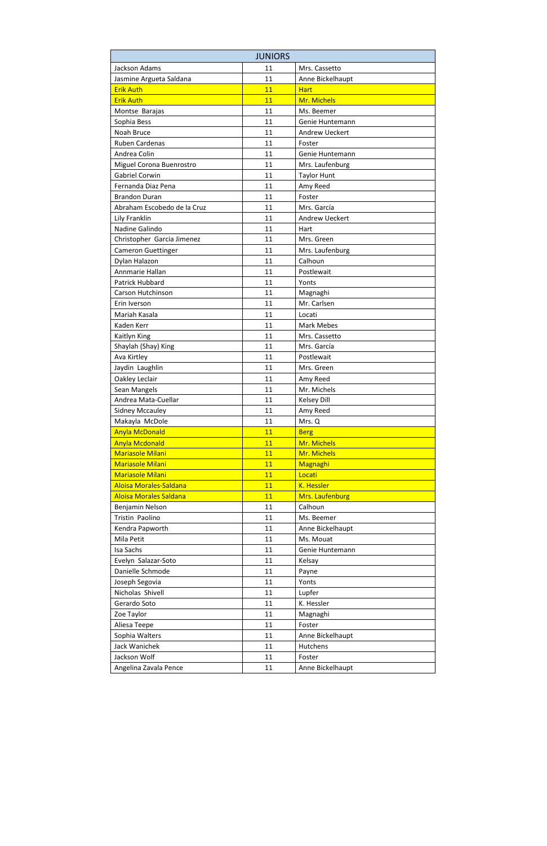|                               | <b>JUNIORS</b> |                       |  |  |  |
|-------------------------------|----------------|-----------------------|--|--|--|
| Jackson Adams                 | 11             | Mrs. Cassetto         |  |  |  |
| Jasmine Argueta Saldana       | 11             | Anne Bickelhaupt      |  |  |  |
| <b>Erik Auth</b>              | 11             | <b>Hart</b>           |  |  |  |
| <b>Erik Auth</b>              | 11             | Mr. Michels           |  |  |  |
| Montse Barajas                | 11             | Ms. Beemer            |  |  |  |
| Sophia Bess                   | 11             | Genie Huntemann       |  |  |  |
| <b>Noah Bruce</b>             | 11             | <b>Andrew Ueckert</b> |  |  |  |
| <b>Ruben Cardenas</b>         | 11             | Foster                |  |  |  |
| Andrea Colin                  | 11             | Genie Huntemann       |  |  |  |
| Miguel Corona Buenrostro      | 11             | Mrs. Laufenburg       |  |  |  |
| <b>Gabriel Corwin</b>         | 11             | <b>Taylor Hunt</b>    |  |  |  |
| Fernanda Diaz Pena            | 11             | Amy Reed              |  |  |  |
| <b>Brandon Duran</b>          | 11             | Foster                |  |  |  |
| Abraham Escobedo de la Cruz   | 11             | Mrs. García           |  |  |  |
| Lily Franklin                 | 11             | <b>Andrew Ueckert</b> |  |  |  |
| Nadine Galindo                | 11             | Hart                  |  |  |  |
| Christopher Garcia Jimenez    | 11             | Mrs. Green            |  |  |  |
| <b>Cameron Guettinger</b>     | 11             | Mrs. Laufenburg       |  |  |  |
| Dylan Halazon                 | 11             | Calhoun               |  |  |  |
| Annmarie Hallan               | 11             | Postlewait            |  |  |  |
| Patrick Hubbard               | 11             | Yonts                 |  |  |  |
| Carson Hutchinson             | 11             | Magnaghi              |  |  |  |
| Erin Iverson                  | 11             | Mr. Carlsen           |  |  |  |
| Mariah Kasala                 | 11             | Locati                |  |  |  |
| <b>Kaden Kerr</b>             | 11             | <b>Mark Mebes</b>     |  |  |  |
| Kaitlyn King                  | 11             | Mrs. Cassetto         |  |  |  |
| Shaylah (Shay) King           | 11             | Mrs. García           |  |  |  |
| Ava Kirtley                   | 11             | Postlewait            |  |  |  |
| Jaydin Laughlin               | 11             | Mrs. Green            |  |  |  |
| Oakley Leclair                | 11             | Amy Reed              |  |  |  |
| Sean Mangels                  | 11             | Mr. Michels           |  |  |  |
| Andrea Mata-Cuellar           | 11             | <b>Kelsey Dill</b>    |  |  |  |
| <b>Sidney Mccauley</b>        | 11             | Amy Reed              |  |  |  |
| Makayla McDole                | 11             | Mrs. Q                |  |  |  |
| <b>Anyla McDonald</b>         | 11             | <b>Berg</b>           |  |  |  |
| <b>Anyla Mcdonald</b>         | 11             | Mr. Michels           |  |  |  |
| <b>Mariasole Milani</b>       | 11             | Mr. Michels           |  |  |  |
| <b>Mariasole Milani</b>       | 11             | Magnaghi              |  |  |  |
| <b>Mariasole Milani</b>       | 11             | Locati                |  |  |  |
| Aloisa Morales-Saldana        | 11             | K. Hessler            |  |  |  |
| <b>Aloisa Morales Saldana</b> | 11             | Mrs. Laufenburg       |  |  |  |
| Benjamin Nelson               | 11             | Calhoun               |  |  |  |
| Tristin Paolino               | 11             | Ms. Beemer            |  |  |  |
| Kendra Papworth               | 11             | Anne Bickelhaupt      |  |  |  |
| Mila Petit                    | 11             | Ms. Mouat             |  |  |  |
| Isa Sachs                     | 11             | Genie Huntemann       |  |  |  |
| Evelyn Salazar-Soto           | 11             | Kelsay                |  |  |  |
| Danielle Schmode              | 11             | Payne                 |  |  |  |
| Joseph Segovia                | 11             | Yonts                 |  |  |  |
| Nicholas Shivell              | 11             | Lupfer                |  |  |  |
| Gerardo Soto                  | 11             | K. Hessler            |  |  |  |
| Zoe Taylor                    | 11             | Magnaghi              |  |  |  |
| Aliesa Teepe                  | 11             | Foster                |  |  |  |
| Sophia Walters                | 11             | Anne Bickelhaupt      |  |  |  |
| Jack Wanichek                 | 11             | Hutchens              |  |  |  |
| Jackson Wolf                  | 11             | Foster                |  |  |  |
| Angelina Zavala Pence         | 11             | Anne Bickelhaupt      |  |  |  |